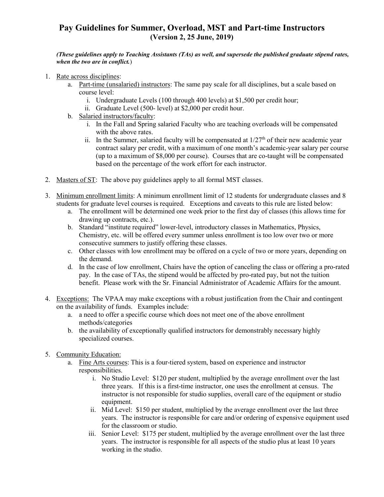## **Pay Guidelines for Summer, Overload, MST and Part-time Instructors (Version 2, 25 June, 2019)**

## *(These guidelines apply to Teaching Assistants (TAs) as well, and supersede the published graduate stipend rates, when the two are in conflict.*)

- 1. Rate across disciplines:
	- a. Part-time (unsalaried) instructors: The same pay scale for all disciplines, but a scale based on course level:
		- i. Undergraduate Levels (100 through 400 levels) at \$1,500 per credit hour;
		- ii. Graduate Level (500- level) at \$2,000 per credit hour.
	- b. Salaried instructors/faculty:
		- i. In the Fall and Spring salaried Faculty who are teaching overloads will be compensated with the above rates.
		- ii. In the Summer, salaried faculty will be compensated at  $1/27<sup>th</sup>$  of their new academic year contract salary per credit, with a maximum of one month's academic-year salary per course (up to a maximum of \$8,000 per course). Courses that are co-taught will be compensated based on the percentage of the work effort for each instructor.
- 2. Masters of ST: The above pay guidelines apply to all formal MST classes.
- 3. Minimum enrollment limits: A minimum enrollment limit of 12 students for undergraduate classes and 8 students for graduate level courses is required. Exceptions and caveats to this rule are listed below:
	- a. The enrollment will be determined one week prior to the first day of classes (this allows time for drawing up contracts, etc.).
	- b. Standard "institute required" lower-level, introductory classes in Mathematics, Physics, Chemistry, etc. will be offered every summer unless enrollment is too low over two or more consecutive summers to justify offering these classes.
	- c. Other classes with low enrollment may be offered on a cycle of two or more years, depending on the demand.
	- d. In the case of low enrollment, Chairs have the option of canceling the class or offering a pro-rated pay. In the case of TAs, the stipend would be affected by pro-rated pay, but not the tuition benefit. Please work with the Sr. Financial Administrator of Academic Affairs for the amount.
- 4. Exceptions: The VPAA may make exceptions with a robust justification from the Chair and contingent on the availability of funds. Examples include:
	- a. a need to offer a specific course which does not meet one of the above enrollment methods/categories
	- b. the availability of exceptionally qualified instructors for demonstrably necessary highly specialized courses.
- 5. Community Education:
	- a. Fine Arts courses: This is a four-tiered system, based on experience and instructor responsibilities.
		- i. No Studio Level: \$120 per student, multiplied by the average enrollment over the last three years. If this is a first-time instructor, one uses the enrollment at census. The instructor is not responsible for studio supplies, overall care of the equipment or studio equipment.
		- ii. Mid Level: \$150 per student, multiplied by the average enrollment over the last three years. The instructor is responsible for care and/or ordering of expensive equipment used for the classroom or studio.
		- iii. Senior Level: \$175 per student, multiplied by the average enrollment over the last three years. The instructor is responsible for all aspects of the studio plus at least 10 years working in the studio.